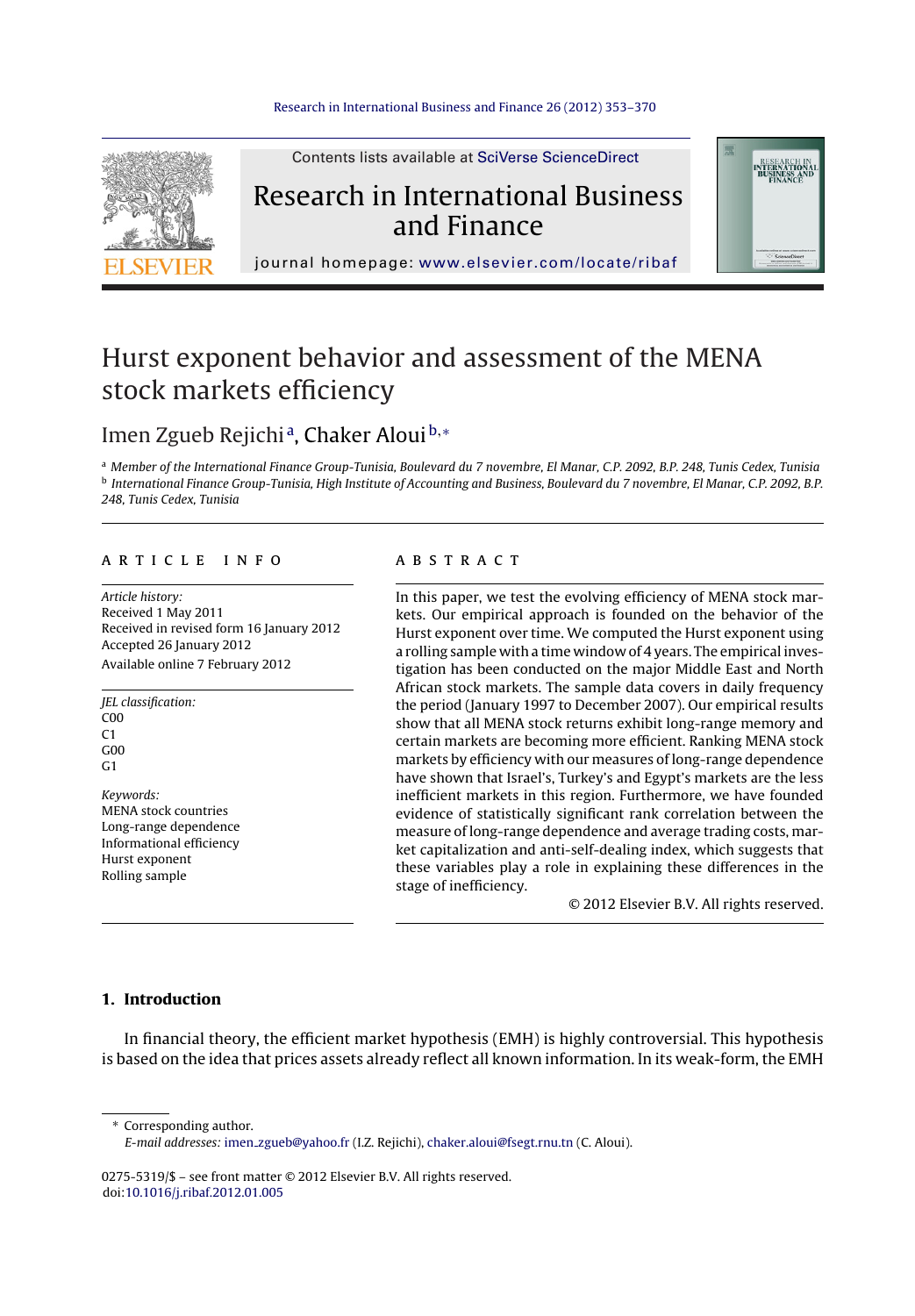

Contents lists available at SciVerse [ScienceDirect](http://www.sciencedirect.com/science/journal/02755319)

# Research in International Business and Finance



journal homepage: [www.elsevier.com/locate/ribaf](http://www.elsevier.com/locate/ribaf)

# Hurst exponent behavior and assessment of the MENA stock markets efficiency

### Imen Zgueb Rejichi<sup>a</sup>, Chaker Aloui<sup>b,</sup>\*

a Member of the International Finance Group-Tunisia, Boulevard du 7 novembre, El Manar, C.P. 2092, B.P. 248, Tunis Cedex, Tunisia <sup>b</sup> International Finance Group-Tunisia, High Institute of Accounting and Business, Boulevard du 7 novembre, El Manar, C.P. 2092, B.P. 248, Tunis Cedex, Tunisia

#### a r t i c l e i n f o

Article history: Received 1 May 2011 Received in revised form 16 January 2012 Accepted 26 January 2012 Available online 7 February 2012

JEL classification:  $C<sub>00</sub>$  $C<sub>1</sub>$ G00  $G<sub>1</sub>$ 

Keywords: MENA stock countries Long-range dependence Informational efficiency Hurst exponent Rolling sample

#### a b s t r a c t

In this paper, we test the evolving efficiency of MENA stock markets. Our empirical approach is founded on the behavior of the Hurst exponent over time. We computed the Hurst exponent using a rolling sample with a time window of 4 years. The empirical investigation has been conducted on the major Middle East and North African stock markets. The sample data covers in daily frequency the period (January 1997 to December 2007). Our empirical results show that all MENA stock returns exhibit long-range memory and certain markets are becoming more efficient. Ranking MENA stock markets by efficiency with our measures of long-range dependence have shown that Israel's, Turkey's and Egypt's markets are the less inefficient markets in this region. Furthermore, we have founded evidence of statistically significant rank correlation between the measure of long-range dependence and average trading costs, market capitalization and anti-self-dealing index, which suggests that these variables play a role in explaining these differences in the stage of inefficiency.

© 2012 Elsevier B.V. All rights reserved.

#### **1. Introduction**

In financial theory, the efficient market hypothesis (EMH) is highly controversial. This hypothesis is based on the idea that prices assets already reflect all known information. In its weak-form, the EMH

∗ Corresponding author. E-mail addresses: imen [zgueb@yahoo.f](mailto:imen_zgueb@yahoo.fr)r (I.Z. Rejichi), [chaker.aloui@fsegt.rnu.tn](mailto:chaker.aloui@fsegt.rnu.tn) (C. Aloui).

0275-5319/\$ – see front matter © 2012 Elsevier B.V. All rights reserved. doi:[10.1016/j.ribaf.2012.01.005](dx.doi.org/10.1016/j.ribaf.2012.01.005)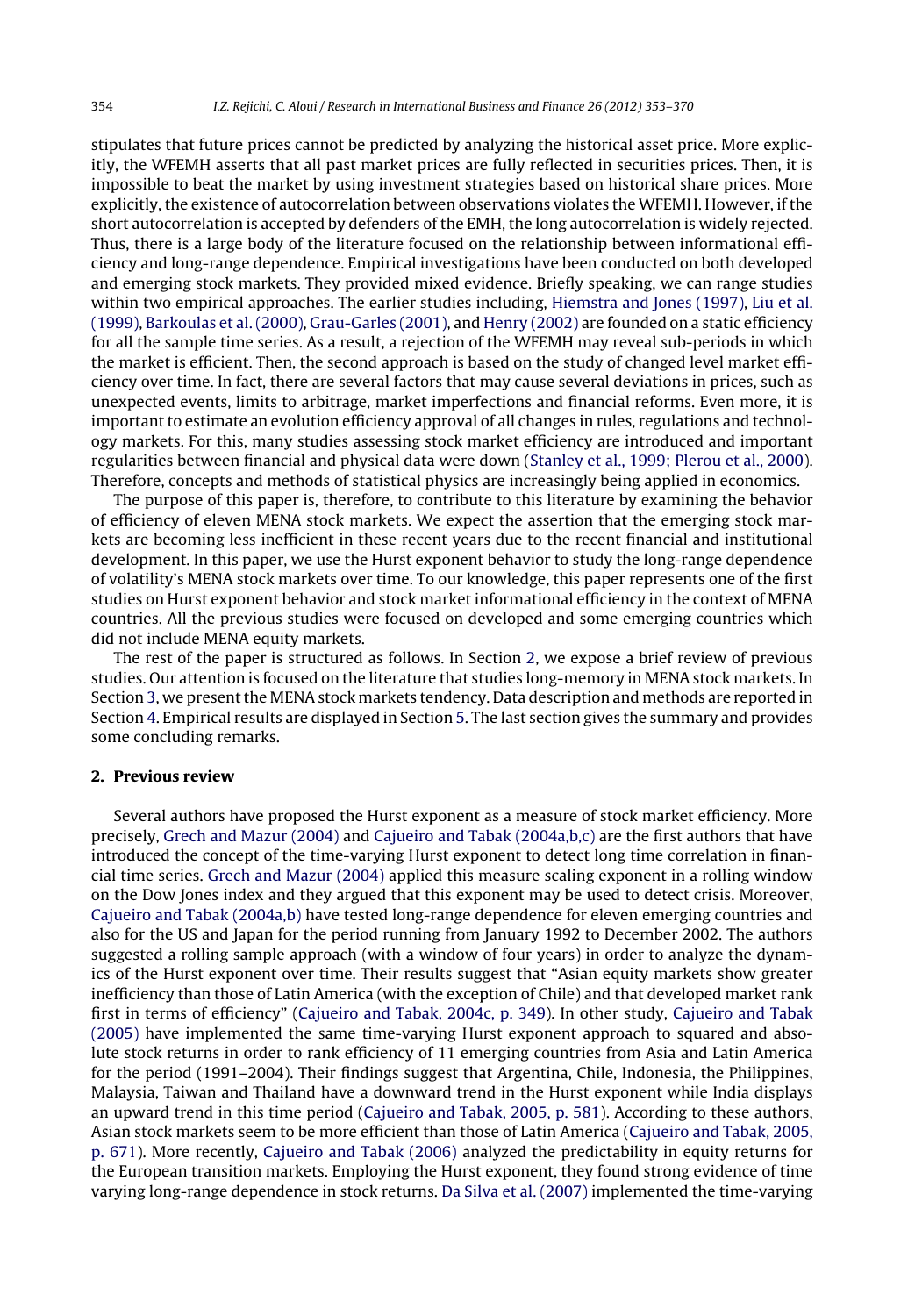stipulates that future prices cannot be predicted by analyzing the historical asset price. More explicitly, the WFEMH asserts that all past market prices are fully reflected in securities prices. Then, it is impossible to beat the market by using investment strategies based on historical share prices. More explicitly, the existence of autocorrelation between observations violates the WFEMH. However, if the short autocorrelation is accepted by defenders of the EMH, the long autocorrelation is widely rejected. Thus, there is a large body of the literature focused on the relationship between informational efficiency and long-range dependence. Empirical investigations have been conducted on both developed and emerging stock markets. They provided mixed evidence. Briefly speaking, we can range studies within two empirical approaches. The earlier studies including, [Hiemstra](#page--1-0) [and](#page--1-0) [Jones](#page--1-0) [\(1997\),](#page--1-0) [Liu](#page--1-0) et [al.](#page--1-0) [\(1999\),](#page--1-0) [Barkoulas](#page--1-0) et [al.](#page--1-0) [\(2000\),](#page--1-0) [Grau-Garles](#page--1-0) [\(2001\),](#page--1-0) and [Henry](#page--1-0) [\(2002\)](#page--1-0) are founded on a static efficiency for all the sample time series. As a result, a rejection of the WFEMH may reveal sub-periods in which the market is efficient. Then, the second approach is based on the study of changed level market efficiency over time. In fact, there are several factors that may cause several deviations in prices, such as unexpected events, limits to arbitrage, market imperfections and financial reforms. Even more, it is important to estimate an evolution efficiency approval of all changes in rules, regulations and technology markets. For this, many studies assessing stock market efficiency are introduced and important regularities between financial and physical data were down [\(Stanley](#page--1-0) et [al.,](#page--1-0) [1999;](#page--1-0) [Plerou](#page--1-0) et [al.,](#page--1-0) [2000\).](#page--1-0) Therefore, concepts and methods of statistical physics are increasingly being applied in economics.

The purpose of this paper is, therefore, to contribute to this literature by examining the behavior of efficiency of eleven MENA stock markets. We expect the assertion that the emerging stock markets are becoming less inefficient in these recent years due to the recent financial and institutional development. In this paper, we use the Hurst exponent behavior to study the long-range dependence of volatility's MENA stock markets over time. To our knowledge, this paper represents one of the first studies on Hurst exponent behavior and stock market informational efficiency in the context of MENA countries. All the previous studies were focused on developed and some emerging countries which did not include MENA equity markets.

The rest of the paper is structured as follows. In Section 2, we expose a brief review of previous studies. Our attention is focused on the literature that studies long-memory in MENA stock markets. In Section [3,](#page--1-0) we present the MENA stock markets tendency. Data description and methods are reported in Section [4.](#page--1-0) Empirical results are displayed in Section [5.](#page--1-0) The last section gives the summary and provides some concluding remarks.

#### **2. Previous review**

Several authors have proposed the Hurst exponent as a measure of stock market efficiency. More precisely, [Grech](#page--1-0) [and](#page--1-0) [Mazur](#page--1-0) [\(2004\)](#page--1-0) and [Cajueiro](#page--1-0) [and](#page--1-0) [Tabak](#page--1-0) [\(2004a,b,c\)](#page--1-0) are the first authors that have introduced the concept of the time-varying Hurst exponent to detect long time correlation in financial time series. [Grech](#page--1-0) [and](#page--1-0) [Mazur](#page--1-0) [\(2004\)](#page--1-0) applied this measure scaling exponent in a rolling window on the Dow Jones index and they argued that this exponent may be used to detect crisis. Moreover, [Cajueiro](#page--1-0) [and](#page--1-0) [Tabak](#page--1-0) [\(2004a,b\)](#page--1-0) have tested long-range dependence for eleven emerging countries and also for the US and Japan for the period running from January 1992 to December 2002. The authors suggested a rolling sample approach (with a window of four years) in order to analyze the dynamics of the Hurst exponent over time. Their results suggest that "Asian equity markets show greater inefficiency than those of Latin America (with the exception of Chile) and that developed market rank first in terms of efficiency" ([Cajueiro](#page--1-0) [and](#page--1-0) [Tabak,](#page--1-0) [2004c,](#page--1-0) [p.](#page--1-0) [349\).](#page--1-0) In other study, [Cajueiro](#page--1-0) [and](#page--1-0) [Tabak](#page--1-0) [\(2005\)](#page--1-0) have implemented the same time-varying Hurst exponent approach to squared and absolute stock returns in order to rank efficiency of 11 emerging countries from Asia and Latin America for the period (1991–2004). Their findings suggest that Argentina, Chile, Indonesia, the Philippines, Malaysia, Taiwan and Thailand have a downward trend in the Hurst exponent while India displays an upward trend in this time period [\(Cajueiro](#page--1-0) [and](#page--1-0) [Tabak,](#page--1-0) [2005,](#page--1-0) [p.](#page--1-0) [581\).](#page--1-0) According to these authors, Asian stock markets seem to be more efficient than those of Latin America ([Cajueiro](#page--1-0) [and](#page--1-0) [Tabak,](#page--1-0) [2005,](#page--1-0) [p.](#page--1-0) [671\).](#page--1-0) More recently, [Cajueiro](#page--1-0) [and](#page--1-0) [Tabak](#page--1-0) [\(2006\)](#page--1-0) analyzed the predictability in equity returns for the European transition markets. Employing the Hurst exponent, they found strong evidence of time varying long-range dependence in stock returns. [Da](#page--1-0) [Silva](#page--1-0) et [al.](#page--1-0) [\(2007\)](#page--1-0) implemented the time-varying